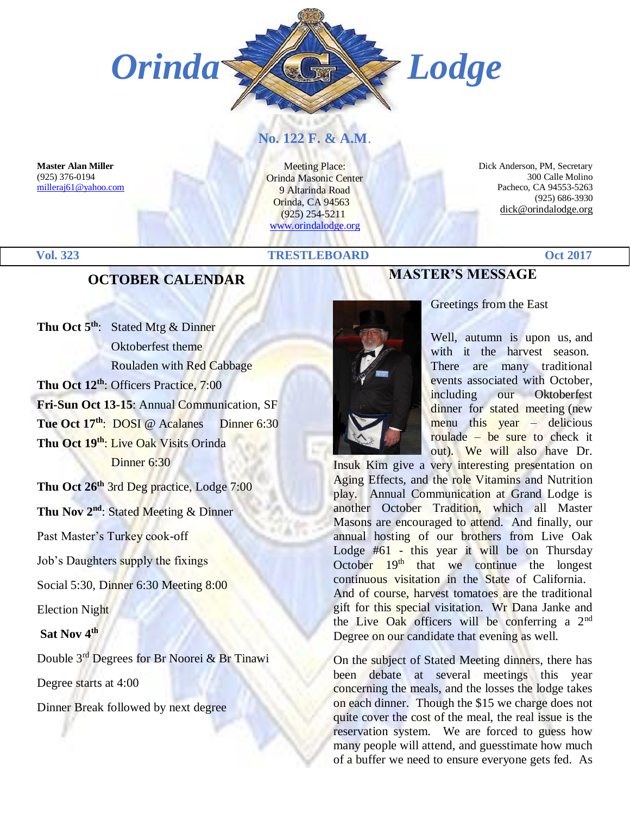

### **No. 122 F. & A.M**.

**Master Alan Miller** (925) 376-0194 [milleraj61@yahoo.com](mailto:milleraj61@yahoo.com)

Meeting Place: Orinda Masonic Center 9 Altarinda Road Orinda, CA 94563 (925) 254-5211 [www.orindalodge.org](http://www.orindalodge.org/)

 Dick Anderson, PM, Secretary 300 Calle Molino Pacheco, CA 94553-5263 (925) 686-3930 dick@orindalodge.org

#### **Vol. 323 TRESTLEBOARD Oct 2017**

#### **OCTOBER CALENDAR**

**Thu Oct 5th**: Stated Mtg & Dinner Oktoberfest theme Rouladen with Red Cabbage **Thu Oct 12th**: Officers Practice, 7:00 **Fri-Sun Oct 13-15**: Annual Communication, SF **Tue Oct 17th**: DOSI @ Acalanes Dinner 6:30 **Thu Oct 19th**: Live Oak Visits Orinda Dinner 6:30 **Thu Oct 26th** 3rd Deg practice, Lodge 7:00 **Thu Nov 2nd**: Stated Meeting & Dinner Past Master's Turkey cook-off Job's Daughters supply the fixings Social 5:30, Dinner 6:30 Meeting 8:00 Election Night **Sat Nov 4th** Double 3rd Degrees for Br Noorei & Br Tinawi Degree starts at 4:00 Dinner Break followed by next degree

# **MASTER'S MESSAGE**

Greetings from the East

Well, autumn is upon us, and with it the harvest season. There are many traditional events associated with October, including our Oktoberfest dinner for stated meeting (new menu this year – delicious roulade – be sure to check it out). We will also have Dr.

Insuk Kim give a very interesting presentation on Aging Effects, and the role Vitamins and Nutrition play. Annual Communication at Grand Lodge is another October Tradition, which all Master Masons are encouraged to attend. And finally, our annual hosting of our brothers from Live Oak Lodge  $#61$  - this year it will be on Thursday October  $19<sup>th</sup>$  that we continue the longest continuous visitation in the State of California. And of course, harvest tomatoes are the traditional gift for this special visitation. Wr Dana Janke and the Live Oak officers will be conferring a  $2<sup>nd</sup>$ Degree on our candidate that evening as well.

On the subject of Stated Meeting dinners, there has been debate at several meetings this year concerning the meals, and the losses the lodge takes on each dinner. Though the \$15 we charge does not quite cover the cost of the meal, the real issue is the reservation system. We are forced to guess how many people will attend, and guesstimate how much of a buffer we need to ensure everyone gets fed. As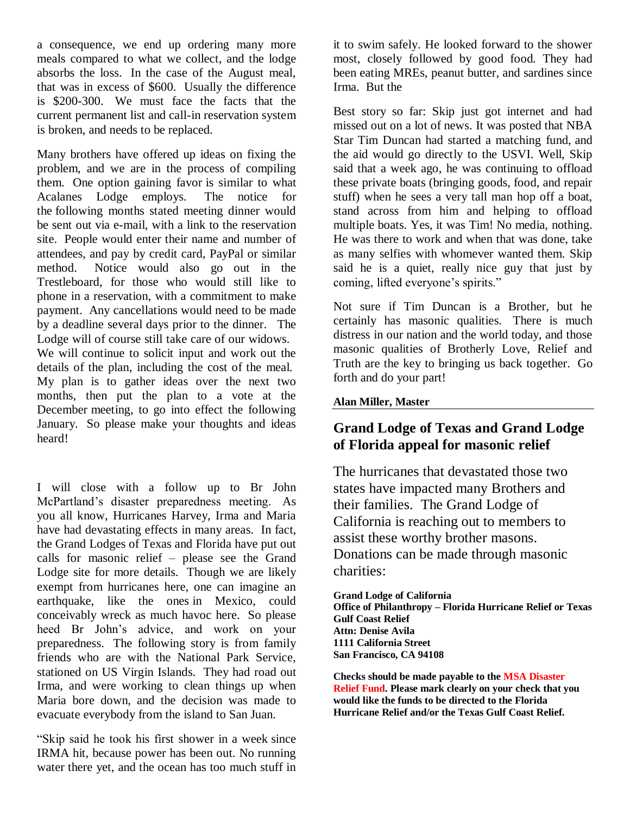a consequence, we end up ordering many more meals compared to what we collect, and the lodge absorbs the loss. In the case of the August meal, that was in excess of \$600. Usually the difference is \$200-300. We must face the facts that the current permanent list and call-in reservation system is broken, and needs to be replaced.

Many brothers have offered up ideas on fixing the problem, and we are in the process of compiling them. One option gaining favor is similar to what Acalanes Lodge employs. The notice for the following months stated meeting dinner would be sent out via e-mail, with a link to the reservation site. People would enter their name and number of attendees, and pay by credit card, PayPal or similar method. Notice would also go out in the Trestleboard, for those who would still like to phone in a reservation, with a commitment to make payment. Any cancellations would need to be made by a deadline several days prior to the dinner. The Lodge will of course still take care of our widows. We will continue to solicit input and work out the details of the plan, including the cost of the meal. My plan is to gather ideas over the next two months, then put the plan to a vote at the December meeting, to go into effect the following January. So please make your thoughts and ideas heard!

I will close with a follow up to Br John McPartland's disaster preparedness meeting. As you all know, Hurricanes Harvey, Irma and Maria have had devastating effects in many areas. In fact, the Grand Lodges of Texas and Florida have put out calls for masonic relief – please see the Grand Lodge site for more details. Though we are likely exempt from hurricanes here, one can imagine an earthquake, like the ones in Mexico, could conceivably wreck as much havoc here. So please heed Br John's advice, and work on your preparedness. The following story is from family friends who are with the National Park Service, stationed on US Virgin Islands. They had road out Irma, and were working to clean things up when Maria bore down, and the decision was made to evacuate everybody from the island to San Juan.

"Skip said he took his first shower in a week since IRMA hit, because power has been out. No running water there yet, and the ocean has too much stuff in it to swim safely. He looked forward to the shower most, closely followed by good food. They had been eating MREs, peanut butter, and sardines since Irma. But the

Best story so far: Skip just got internet and had missed out on a lot of news. It was posted that NBA Star Tim Duncan had started a matching fund, and the aid would go directly to the USVI. Well, Skip said that a week ago, he was continuing to offload these private boats (bringing goods, food, and repair stuff) when he sees a very tall man hop off a boat, stand across from him and helping to offload multiple boats. Yes, it was Tim! No media, nothing. He was there to work and when that was done, take as many selfies with whomever wanted them. Skip said he is a quiet, really nice guy that just by coming, lifted everyone's spirits."

Not sure if Tim Duncan is a Brother, but he certainly has masonic qualities. There is much distress in our nation and the world today, and those masonic qualities of Brotherly Love, Relief and Truth are the key to bringing us back together. Go forth and do your part!

#### **Alan Miller, Master**

#### **Grand Lodge of Texas and Grand Lodge of Florida appeal for masonic relief**

The hurricanes that devastated those two states have impacted many Brothers and their families. The Grand Lodge of California is reaching out to members to assist these worthy brother masons. Donations can be made through masonic charities:

**Grand Lodge of California Office of Philanthropy – Florida Hurricane Relief or Texas Gulf Coast Relief Attn: Denise Avila 1111 California Street San Francisco, CA 94108**

**Checks should be made payable to the MSA Disaster Relief Fund. Please mark clearly on your check that you would like the funds to be directed to the Florida Hurricane Relief and/or the Texas Gulf Coast Relief.**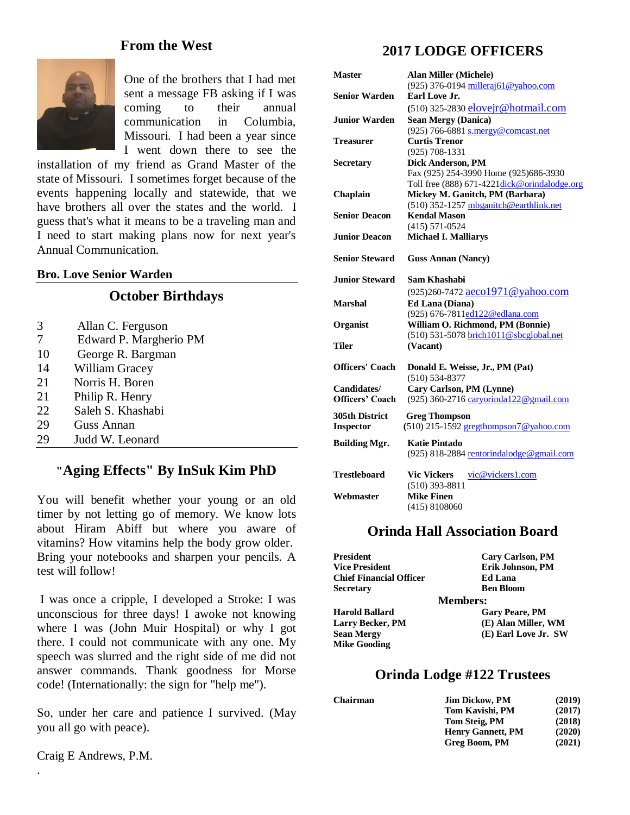#### **From the West**



One of the brothers that I had met sent a message FB asking if I was coming to their annual communication in Columbia, Missouri. I had been a year since I went down there to see the

installation of my friend as Grand Master of the state of Missouri. I sometimes forget because of the events happening locally and statewide, that we have brothers all over the states and the world. I guess that's what it means to be a traveling man and I need to start making plans now for next year's Annual Communication.

#### **Bro. Love Senior Warden**

#### **October Birthdays**

| 3  | Allan C. Ferguson      |
|----|------------------------|
| 7  | Edward P. Margherio PM |
| 10 | George R. Bargman      |
| 14 | William Gracey         |
| 21 | Norris H. Boren        |
| 21 | Philip R. Henry        |
| 22 | Saleh S. Khashabi      |
| 29 | Guss Annan             |
| 29 | Judd W. Leonard        |
|    |                        |

#### **"Aging Effects" By InSuk Kim PhD**

You will benefit whether your young or an old timer by not letting go of memory. We know lots about Hiram Abiff but where you aware of vitamins? How vitamins help the body grow older. Bring your notebooks and sharpen your pencils. A test will follow!

I was once a cripple, I developed a Stroke: I was unconscious for three days! I awoke not knowing where I was (John Muir Hospital) or why I got there. I could not communicate with any one. My speech was slurred and the right side of me did not answer commands. Thank goodness for Morse code! (Internationally: the sign for "help me").

So, under her care and patience I survived. (May you all go with peace).

Craig E Andrews, P.M.

.

## **2017 LODGE OFFICERS**

| <b>Master</b>          | <b>Alan Miller (Michele)</b>                  |
|------------------------|-----------------------------------------------|
|                        | (925) 376-0194 milleraj61@yahoo.com           |
| <b>Senior Warden</b>   | Earl Love Jr.                                 |
|                        | (510) 325-2830 eloveir@hotmail.com            |
| <b>Junior Warden</b>   | <b>Sean Mergy (Danica)</b>                    |
|                        | (925) 766-6881 s.mergy@comcast.net            |
| <b>Treasurer</b>       | <b>Curtis Trenor</b>                          |
|                        | $(925) 708 - 1331$                            |
| <b>Secretary</b>       | <b>Dick Anderson, PM</b>                      |
|                        | Fax (925) 254-3990 Home (925)686-3930         |
|                        | Toll free (888) 671-4221 dick@orindalodge.org |
| Chaplain               | Mickey M. Ganitch, PM (Barbara)               |
|                        | (510) 352-1257 mbganitch@earthlink.net        |
| <b>Senior Deacon</b>   | <b>Kendal Mason</b>                           |
|                        | $(415) 571 - 0524$                            |
| <b>Junior Deacon</b>   | <b>Michael I. Malliarys</b>                   |
|                        |                                               |
| <b>Senior Steward</b>  | <b>Guss Annan (Nancy)</b>                     |
| <b>Junior Steward</b>  | Sam Khashabi                                  |
|                        | (925)260-7472 aeco1971@yahoo.com              |
| <b>Marshal</b>         | Ed Lana (Diana)                               |
|                        | (925) 676-7811ed122@edlana.com                |
| Organist               | William O. Richmond, PM (Bonnie)              |
|                        | (510) 531-5078 brich1011@sbcglobal.net        |
| Tiler                  | (Vacant)                                      |
| <b>Officers' Coach</b> | Donald E. Weisse, Jr., PM (Pat)               |
|                        | $(510) 534 - 8377$                            |
| Candidates/            | Cary Carlson, PM (Lynne)                      |
| <b>Officers' Coach</b> | (925) 360-2716 caryorinda122@gmail.com        |
| <b>305th District</b>  | <b>Greg Thompson</b>                          |
| <b>Inspector</b>       | $(510)$ 215-1592 gregthompson7@yahoo.com      |
|                        | Katie Pintado                                 |
| <b>Building Mgr.</b>   |                                               |
|                        | (925) 818-2884 rentorindalodge@gmail.com      |
| <b>Trestleboard</b>    | <b>Vic Vickers</b><br>vic@vickers1.com        |
|                        | $(510)$ 393-8811                              |
| Webmaster              | <b>Mike Finen</b>                             |
|                        | (415) 8108060                                 |

#### **Orinda Hall Association Board**

| <b>President</b>               | <b>Cary Carlson, PM</b> |  |
|--------------------------------|-------------------------|--|
| <b>Vice President</b>          | Erik Johnson, PM        |  |
| <b>Chief Financial Officer</b> | Ed Lana                 |  |
| <b>Secretary</b>               | <b>Ben Bloom</b>        |  |
|                                | <b>Members:</b>         |  |
| <b>Harold Ballard</b>          | <b>Gary Peare, PM</b>   |  |
| <b>Larry Becker, PM</b>        | (E) Alan Miller, WM     |  |
| <b>Sean Mergy</b>              | (E) Earl Love Jr. SW    |  |
| <b>Mike Gooding</b>            |                         |  |

#### **Orinda Lodge #122 Trustees**

| Chairman | <b>Jim Dickow, PM</b>    | (2019) |
|----------|--------------------------|--------|
|          | Tom Kavishi, PM          | (2017) |
|          | Tom Steig, PM            | (2018) |
|          | <b>Henry Gannett, PM</b> | (2020) |
|          | Greg Boom, PM            | (2021) |